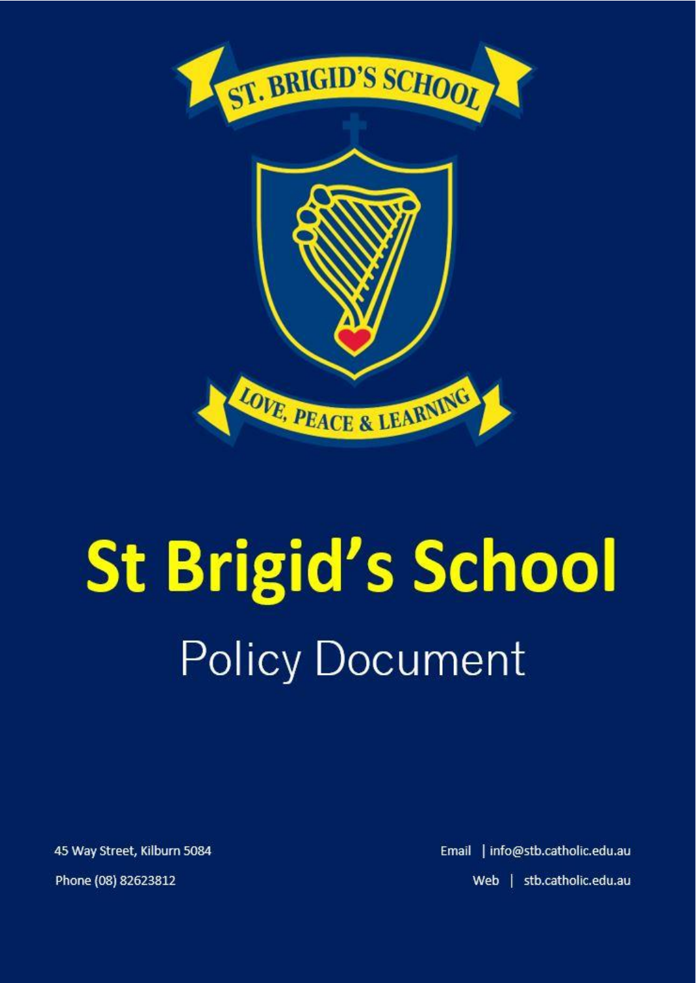

# **St Brigid's School Policy Document**

45 Way Street, Kilburn 5084 Phone (08) 82623812

Email | info@stb.catholic.edu.au Web | stb.catholic.edu.au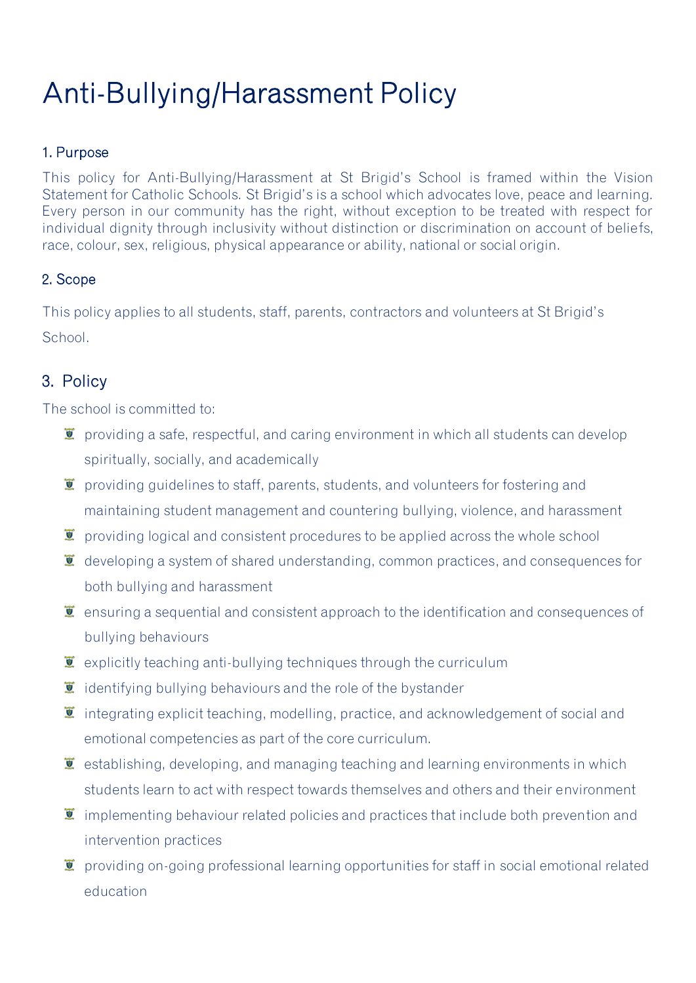## Anti-Bullying/Harassment Policy

#### 1. Purpose

This policy for Anti-Bullying/Harassment at St Brigid's School is framed within the Vision Statement for Catholic Schools. St Brigid's is a school which advocates love, peace and learning. Every person in our community has the right, without exception to be treated with respect for individual dignity through inclusivity without distinction or discrimination on account of beliefs, race, colour, sex, religious, physical appearance or ability, national or social origin.

#### 2. Scope

This policy applies to all students, staff, parents, contractors and volunteers at St Brigid's School.

#### 3. Policy

The school is committed to:

- $\bullet$  providing a safe, respectful, and caring environment in which all students can develop spiritually, socially, and academically
- $\bar{I}$  providing guidelines to staff, parents, students, and volunteers for fostering and maintaining student management and countering bullying, violence, and harassment
- $\bar{I}$  providing logical and consistent procedures to be applied across the whole school
- $\ddot{\bullet}$  developing a system of shared understanding, common practices, and consequences for both bullying and harassment
- $\bar{I}$  ensuring a sequential and consistent approach to the identification and consequences of bullying behaviours
- $\ddot{\mathbf{z}}$  explicitly teaching anti-bullying techniques through the curriculum
- $\bar{I}$  identifying bullying behaviours and the role of the bystander
- $\ddot{\mathbf{I}}$  integrating explicit teaching, modelling, practice, and acknowledgement of social and emotional competencies as part of the core curriculum.
- $\ddot{\bullet}$  establishing, developing, and managing teaching and learning environments in which students learn to act with respect towards themselves and others and their environment
- $\bar{I}$  implementing behaviour related policies and practices that include both prevention and intervention practices
- $\bar{I}$  providing on-going professional learning opportunities for staff in social emotional related education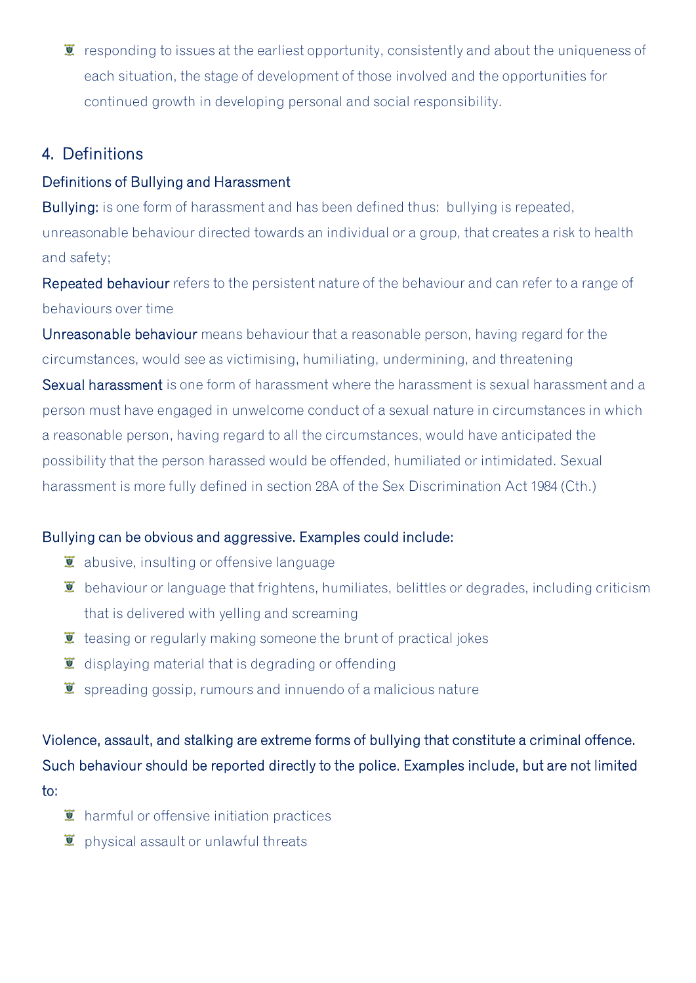$\bar{I}$  responding to issues at the earliest opportunity, consistently and about the uniqueness of each situation, the stage of development of those involved and the opportunities for continued growth in developing personal and social responsibility.

#### 4. Definitions

#### Definitions of Bullying and Harassment

Bullying: is one form of harassment and has been defined thus: bullying is repeated, unreasonable behaviour directed towards an individual or a group, that creates a risk to health and safety;

Repeated behaviour refers to the persistent nature of the behaviour and can refer to a range of behaviours over time

Unreasonable behaviour means behaviour that a reasonable person, having regard for the circumstances, would see as victimising, humiliating, undermining, and threatening

Sexual harassment is one form of harassment where the harassment is sexual harassment and a person must have engaged in unwelcome conduct of a sexual nature in circumstances in which a reasonable person, having regard to all the circumstances, would have anticipated the possibility that the person harassed would be offended, humiliated or intimidated. Sexual harassment is more fully defined in section 28A of the Sex Discrimination Act 1984 (Cth.)

#### Bullying can be obvious and aggressive. Examples could include:

- $\overline{\bullet}$  abusive, insulting or offensive language
- $\bar{I}$  behaviour or language that frightens, humiliates, belittles or degrades, including criticism that is delivered with yelling and screaming
- $\ddot{\bullet}$  teasing or regularly making someone the brunt of practical jokes
- $\bullet$  displaying material that is degrading or offending
- $\bar{I}$  spreading gossip, rumours and innuendo of a malicious nature

Violence, assault, and stalking are extreme forms of bullying that constitute a criminal offence. Such behaviour should be reported directly to the police. Examples include, but are not limited to:

- $\mathbf{\Sigma}$  harmful or offensive initiation practices
- $\ddot{\bullet}$  physical assault or unlawful threats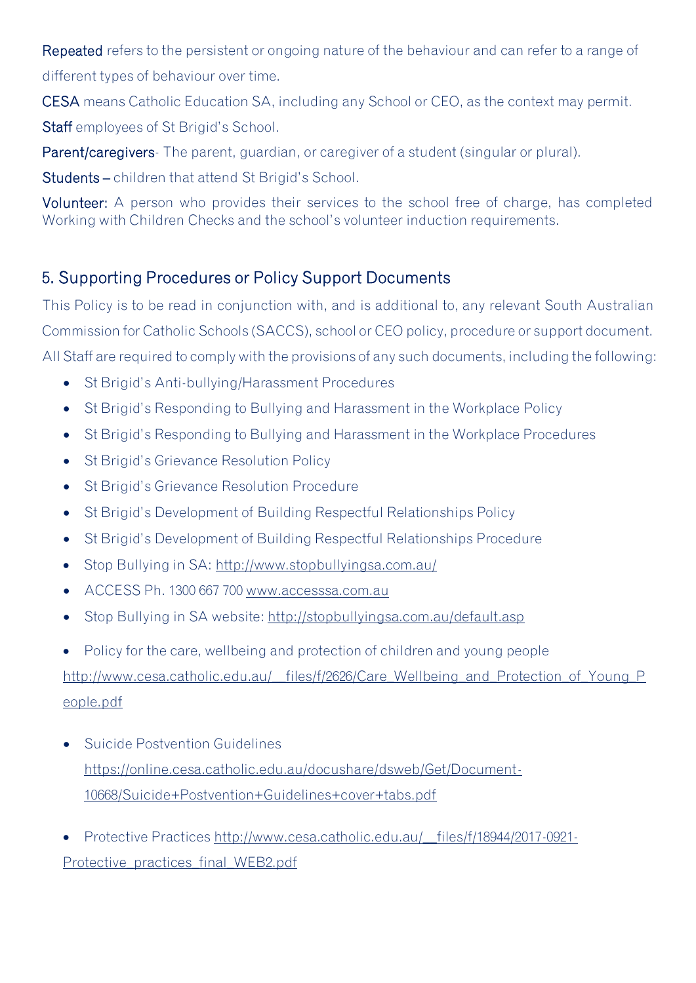Repeated refers to the persistent or ongoing nature of the behaviour and can refer to a range of different types of behaviour over time.

CESA means Catholic Education SA, including any School or CEO, as the context may permit.

Staff employees of St Brigid's School.

Parent/caregivers- The parent, guardian, or caregiver of a student (singular or plural).

Students – children that attend St Brigid's School.

Volunteer: A person who provides their services to the school free of charge, has completed Working with Children Checks and the school's volunteer induction requirements.

### 5. Supporting Procedures or Policy Support Documents

This Policy is to be read in conjunction with, and is additional to, any relevant South Australian Commission for Catholic Schools (SACCS), school or CEO policy, procedure or support document. All Staff are required to comply with the provisions of any such documents, including the following:

- St Brigid's Anti-bullying/Harassment Procedures
- St Brigid's Responding to Bullying and Harassment in the Workplace Policy
- St Brigid's Responding to Bullying and Harassment in the Workplace Procedures
- St Brigid's Grievance Resolution Policy
- St Brigid's Grievance Resolution Procedure
- St Brigid's Development of Building Respectful Relationships Policy
- St Brigid's Development of Building Respectful Relationships Procedure
- Stop Bullying in SA: http://www.stopbullyingsa.com.au/
- ACCESS Ph. 1300 667 700 www.accesssa.com.au
- Stop Bullying in SA website:<http://stopbullyingsa.com.au/default.asp>

• Policy for the care, wellbeing and protection of children and young people http://www.cesa.catholic.edu.au/\_files/f/2626/Care\_Wellbeing\_and\_Protection\_of\_Young\_P [eople.pdf](http://www.cesa.catholic.edu.au/__files/f/2626/Care_Wellbeing_and_Protection_of_Young_People.pdf)

- Suicide Postvention Guidelines [https://online.cesa.catholic.edu.au/docushare/dsweb/Get/Document-](https://online.cesa.catholic.edu.au/docushare/dsweb/Get/Document-10668/Suicide+Postvention+Guidelines+cover+tabs.pdf)[10668/Suicide+Postvention+Guidelines+cover+tabs.pdf](https://online.cesa.catholic.edu.au/docushare/dsweb/Get/Document-10668/Suicide+Postvention+Guidelines+cover+tabs.pdf)
- Protective Practices [http://www.cesa.catholic.edu.au/\\_\\_files/f/18944/2017-0921-](http://www.cesa.catholic.edu.au/__files/f/18944/2017-0921-Protective_practices_final_WEB2.pdf) [Protective\\_practices\\_final\\_WEB2.pdf](http://www.cesa.catholic.edu.au/__files/f/18944/2017-0921-Protective_practices_final_WEB2.pdf)